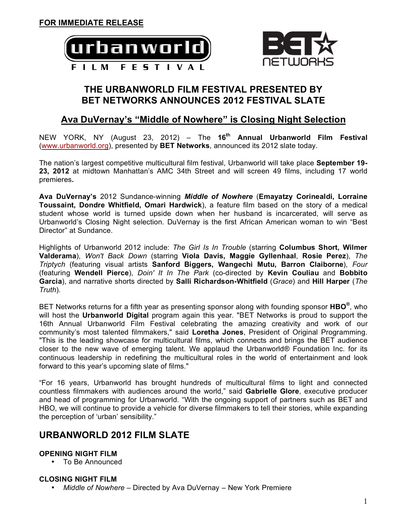



## **THE URBANWORLD FILM FESTIVAL PRESENTED BY BET NETWORKS ANNOUNCES 2012 FESTIVAL SLATE**

## **Ava DuVernay's "Middle of Nowhere" is Closing Night Selection**

NEW YORK, NY (August 23, 2012) – The **16th Annual Urbanworld Film Festival** (www.urbanworld.org), presented by **BET Networks**, announced its 2012 slate today.

The nation's largest competitive multicultural film festival, Urbanworld will take place **September 19- 23, 2012** at midtown Manhattan's AMC 34th Street and will screen 49 films, including 17 world premieres**.** 

**Ava DuVernay's** 2012 Sundance-winning *Middle of Nowhere* (**Emayatzy Corinealdi, Lorraine Toussaint, Dondre Whitfield, Omari Hardwick**), a feature film based on the story of a medical student whose world is turned upside down when her husband is incarcerated, will serve as Urbanworld's Closing Night selection. DuVernay is the first African American woman to win "Best Director" at Sundance.

Highlights of Urbanworld 2012 include: *The Girl Is In Trouble* (starring **Columbus Short, Wilmer Valderama**), *Won't Back Down* (starring **Viola Davis, Maggie Gyllenhaal**, **Rosie Perez**), *The Triptych* (featuring visual artists **Sanford Biggers, Wangechi Mutu, Barron Claiborne**), *Four*  (featuring **Wendell Pierce**), *Doin' It In The Park* (co-directed by **Kevin Couliau** and **Bobbito Garcia**), and narrative shorts directed by **Salli Richardson-Whitfield** (*Grace*) and **Hill Harper** (*The Truth*).

BET Networks returns for a fifth year as presenting sponsor along with founding sponsor **HBO®**, who will host the **Urbanworld Digital** program again this year. "BET Networks is proud to support the 16th Annual Urbanworld Film Festival celebrating the amazing creativity and work of our community's most talented filmmakers," said **Loretha Jones**, President of Original Programming. "This is the leading showcase for multicultural films, which connects and brings the BET audience closer to the new wave of emerging talent. We applaud the Urbanworld® Foundation Inc. for its continuous leadership in redefining the multicultural roles in the world of entertainment and look forward to this year's upcoming slate of films."

"For 16 years, Urbanworld has brought hundreds of multicultural films to light and connected countless filmmakers with audiences around the world," said **Gabrielle Glore**, executive producer and head of programming for Urbanworld. "With the ongoing support of partners such as BET and HBO, we will continue to provide a vehicle for diverse filmmakers to tell their stories, while expanding the perception of 'urban' sensibility."

# **URBANWORLD 2012 FILM SLATE**

## **OPENING NIGHT FILM**

• To Be Announced

## **CLOSING NIGHT FILM**

• *Middle of Nowhere* – Directed by Ava DuVernay – New York Premiere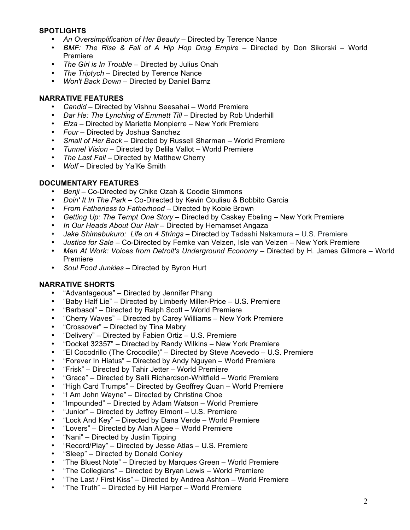#### **SPOTLIGHTS**

- *An Oversimplification of Her Beauty* Directed by Terence Nance
- *BMF: The Rise & Fall of A Hip Hop Drug Empire* Directed by Don Sikorski World Premiere
- *The Girl is In Trouble* Directed by Julius Onah
- *The Triptych* Directed by Terence Nance
- *Won't Back Down* Directed by Daniel Barnz

#### **NARRATIVE FEATURES**

- *Candid* Directed by Vishnu Seesahai World Premiere
- *Dar He: The Lynching of Emmett Till* Directed by Rob Underhill
- *Elza*  Directed by Mariette Monpierre New York Premiere
- *Four* Directed by Joshua Sanchez
- *Small of Her Back* Directed by Russell Sharman World Premiere
- *Tunnel Vision* Directed by Delila Vallot World Premiere
- *The Last Fall* Directed by Matthew Cherry<br>• Wolf Directed by Ya'Ke Smith
- *Wolf* Directed by Ya'Ke Smith

#### **DOCUMENTARY FEATURES**

- *Benji*  Co-Directed by Chike Ozah & Coodie Simmons
- *Doin' It In The Park* Co-Directed by Kevin Couliau & Bobbito Garcia
- *From Fatherless to Fatherhood* Directed by Kobie Brown
- *Getting Up: The Tempt One Story* Directed by Caskey Ebeling New York Premiere
- *In Our Heads About Our Hair* Directed by Hemamset Angaza
- *Jake Shimabukuro: Life on 4 Strings* Directed by Tadashi Nakamura U.S. Premiere
- *Justice for Sale* Co-Directed by Femke van Velzen, Isle van Velzen New York Premiere
- *Men At Work: Voices from Detroit's Underground Economy* Directed by H. James Gilmore World Premiere
- *Soul Food Junkies* Directed by Byron Hurt

### **NARRATIVE SHORTS**

- "Advantageous" Directed by Jennifer Phang
- "Baby Half Lie" Directed by Limberly Miller-Price U.S. Premiere
- "Barbasol" Directed by Ralph Scott World Premiere
- "Cherry Waves" Directed by Carey Williams New York Premiere
- "Crossover" Directed by Tina Mabry
- "Delivery" Directed by Fabien Ortiz U.S. Premiere
- "Docket 32357" Directed by Randy Wilkins New York Premiere
- "El Cocodrillo (The Crocodile)" Directed by Steve Acevedo U.S. Premiere
- "Forever In Hiatus" Directed by Andy Nguyen World Premiere
- "Frisk" Directed by Tahir Jetter World Premiere
- "Grace" Directed by Salli Richardson-Whitfield World Premiere
- "High Card Trumps" Directed by Geoffrey Quan World Premiere
- "I Am John Wayne" Directed by Christina Choe
- "Impounded" Directed by Adam Watson World Premiere
- "Junior" Directed by Jeffrey Elmont U.S. Premiere
- "Lock And Key" Directed by Dana Verde World Premiere
- "Lovers" Directed by Alan Algee World Premiere
- "Nani" Directed by Justin Tipping
- "Record/Play" Directed by Jesse Atlas U.S. Premiere
- "Sleep" Directed by Donald Conley
- "The Bluest Note" Directed by Marques Green World Premiere
- "The Collegians" Directed by Bryan Lewis World Premiere
- "The Last / First Kiss" Directed by Andrea Ashton World Premiere
- "The Truth" Directed by Hill Harper World Premiere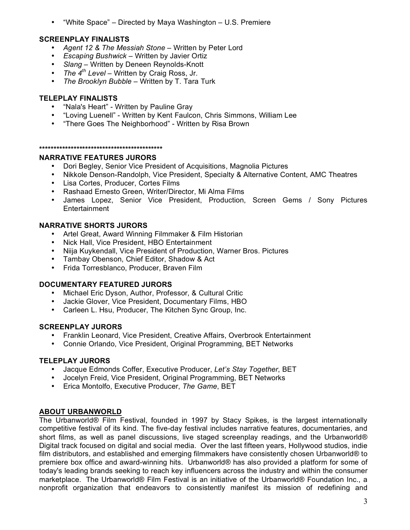• "White Space" – Directed by Maya Washington – U.S. Premiere

## **SCREENPLAY FINALISTS**

- *Agent 12 & The Messiah Stone*  Written by Peter Lord
- *Escaping Bushwick* Written by Javier Ortiz
- *Slang* Written by Deneen Reynolds-Knott
- *The 4th Level* Written by Craig Ross, Jr.
- *The Brooklyn Bubble* Written by T. Tara Turk

#### **TELEPLAY FINALISTS**

- "Nala's Heart" Written by Pauline Gray
- "Loving Luenell" Written by Kent Faulcon, Chris Simmons, William Lee
- "There Goes The Neighborhood" Written by Risa Brown

#### **\*\*\*\*\*\*\*\*\*\*\*\*\*\*\*\*\*\*\*\*\*\*\*\*\*\*\*\*\*\*\*\*\*\*\*\*\*\*\*\*\*\*\***

#### **NARRATIVE FEATURES JURORS**

- Dori Begley, Senior Vice President of Acquisitions, Magnolia Pictures
- Nikkole Denson-Randolph, Vice President, Specialty & Alternative Content, AMC Theatres
- Lisa Cortes, Producer, Cortes Films
- Rashaad Ernesto Green, Writer/Director, Mi Alma Films
- James Lopez, Senior Vice President, Production, Screen Gems / Sony Pictures Entertainment

#### **NARRATIVE SHORTS JURORS**

- Artel Great, Award Winning Filmmaker & Film Historian
- Nick Hall, Vice President, HBO Entertainment
- Niija Kuykendall, Vice President of Production, Warner Bros. Pictures
- Tambay Obenson, Chief Editor, Shadow & Act
- Frida Torresblanco, Producer, Braven Film

### **DOCUMENTARY FEATURED JURORS**

- Michael Eric Dyson, Author, Professor, & Cultural Critic
- Jackie Glover, Vice President, Documentary Films, HBO
- Carleen L. Hsu, Producer, The Kitchen Sync Group, Inc.

### **SCREENPLAY JURORS**

- Franklin Leonard, Vice President, Creative Affairs, Overbrook Entertainment
- Connie Orlando, Vice President, Original Programming, BET Networks

### **TELEPLAY JURORS**

- Jacque Edmonds Coffer, Executive Producer, *Let's Stay Together*, BET
- Jocelyn Freid, Vice President, Original Programming, BET Networks
- Erica Montolfo, Executive Producer, *The Game*, BET

### **ABOUT URBANWORLD**

The Urbanworld® Film Festival, founded in 1997 by Stacy Spikes, is the largest internationally competitive festival of its kind. The five-day festival includes narrative features, documentaries, and short films, as well as panel discussions, live staged screenplay readings, and the Urbanworld® Digital track focused on digital and social media. Over the last fifteen years, Hollywood studios, indie film distributors, and established and emerging filmmakers have consistently chosen Urbanworld® to premiere box office and award-winning hits. Urbanworld® has also provided a platform for some of today's leading brands seeking to reach key influencers across the industry and within the consumer marketplace. The Urbanworld® Film Festival is an initiative of the Urbanworld® Foundation Inc., a nonprofit organization that endeavors to consistently manifest its mission of redefining and